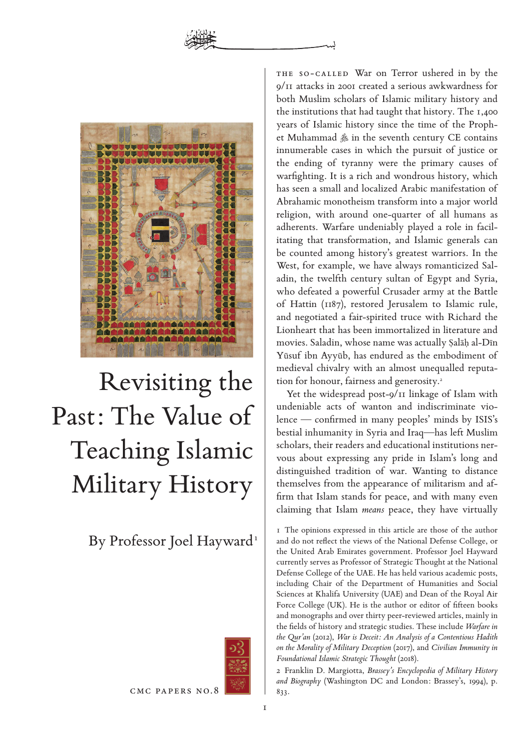

# Revisiting the Past: The Value of Teaching Islamic Military History

By Professor Joel Hayward 1



CMC PAPERS No.8

The so-called War on Terror ushered in by the 9/11 attacks in 2001 created a serious awkwardness for both Muslim scholars of Islamic military history and the institutions that had taught that history. The 1,400 years of Islamic history since the time of the Prophet Muhammad  $\triangleq$  in the seventh century CE contains innumerable cases in which the pursuit of justice or the ending of tyranny were the primary causes of warfighting. It is a rich and wondrous history, which has seen a small and localized Arabic manifestation of Abrahamic monotheism transform into a major world religion, with around one-quarter of all humans as adherents. Warfare undeniably played a role in facilitating that transformation, and Islamic generals can be counted among history's greatest warriors. In the West, for example, we have always romanticized Saladin, the twelfth century sultan of Egypt and Syria, who defeated a powerful Crusader army at the Battle of Hattin (1187), restored Jerusalem to Islamic rule, and negotiated a fair-spirited truce with Richard the Lionheart that has been immortalized in literature and movies. Saladin, whose name was actually Śalāĥ al-Dīn Yūsuf ibn Ayyūb, has endured as the embodiment of medieval chivalry with an almost unequalled reputation for honour, fairness and generosity.<sup>2</sup>

Yet the widespread post-9/11 linkage of Islam with undeniable acts of wanton and indiscriminate violence — confirmed in many peoples' minds by ISIS's bestial inhumanity in Syria and Iraq—has left Muslim scholars, their readers and educational institutions nervous about expressing any pride in Islam's long and distinguished tradition of war. Wanting to distance themselves from the appearance of militarism and affirm that Islam stands for peace, and with many even claiming that Islam *means* peace, they have virtually

1 The opinions expressed in this article are those of the author and do not reflect the views of the National Defense College, or the United Arab Emirates government. Professor Joel Hayward currently serves as Professor of Strategic Thought at the National Defense College of the UAE. He has held various academic posts, including Chair of the Department of Humanities and Social Sciences at Khalifa University (UAE) and Dean of the Royal Air Force College (UK). He is the author or editor of fifteen books and monographs and over thirty peer-reviewed articles, mainly in the fields of history and strategic studies. These include *Warfare in the Qur'an* (2012), *War is Deceit: An Analysis of a Contentious Hadith on the Morality of Military Deception* (2017), and *Civilian Immunity in Foundational Islamic Strategic Thought* (2018).

2 Franklin D. Margiotta, *Brassey's Encyclopedia of Military History and Biography* (Washington DC and London: Brassey's, 1994), p. 833.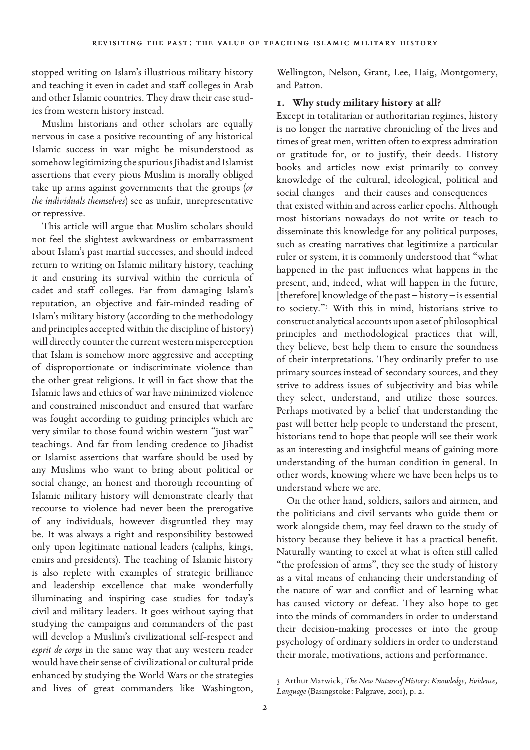stopped writing on Islam's illustrious military history and teaching it even in cadet and staff colleges in Arab and other Islamic countries. They draw their case studies from western history instead.

Muslim historians and other scholars are equally nervous in case a positive recounting of any historical Islamic success in war might be misunderstood as somehow legitimizing the spurious Jihadist and Islamist assertions that every pious Muslim is morally obliged take up arms against governments that the groups (*or the individuals themselves*) see as unfair, unrepresentative or repressive.

This article will argue that Muslim scholars should not feel the slightest awkwardness or embarrassment about Islam's past martial successes, and should indeed return to writing on Islamic military history, teaching it and ensuring its survival within the curricula of cadet and staff colleges. Far from damaging Islam's reputation, an objective and fair-minded reading of Islam's military history (according to the methodology and principles accepted within the discipline of history) will directly counter the current western misperception that Islam is somehow more aggressive and accepting of disproportionate or indiscriminate violence than the other great religions. It will in fact show that the Islamic laws and ethics of war have minimized violence and constrained misconduct and ensured that warfare was fought according to guiding principles which are very similar to those found within western "just war" teachings. And far from lending credence to Jihadist or Islamist assertions that warfare should be used by any Muslims who want to bring about political or social change, an honest and thorough recounting of Islamic military history will demonstrate clearly that recourse to violence had never been the prerogative of any individuals, however disgruntled they may be. It was always a right and responsibility bestowed only upon legitimate national leaders (caliphs, kings, emirs and presidents). The teaching of Islamic history is also replete with examples of strategic brilliance and leadership excellence that make wonderfully illuminating and inspiring case studies for today's civil and military leaders. It goes without saying that studying the campaigns and commanders of the past will develop a Muslim's civilizational self-respect and *esprit de corps* in the same way that any western reader would have their sense of civilizational or cultural pride enhanced by studying the World Wars or the strategies and lives of great commanders like Washington,

Wellington, Nelson, Grant, Lee, Haig, Montgomery, and Patton.

# **1. Why study military history at all?**

Except in totalitarian or authoritarian regimes, history is no longer the narrative chronicling of the lives and times of great men, written often to express admiration or gratitude for, or to justify, their deeds. History books and articles now exist primarily to convey knowledge of the cultural, ideological, political and social changes—and their causes and consequences that existed within and across earlier epochs. Although most historians nowadays do not write or teach to disseminate this knowledge for any political purposes, such as creating narratives that legitimize a particular ruler or system, it is commonly understood that "what happened in the past influences what happens in the present, and, indeed, what will happen in the future, [therefore] knowledge of the past – history – is essential to society."3 With this in mind, historians strive to construct analytical accounts upon a set of philosophical principles and methodological practices that will, they believe, best help them to ensure the soundness of their interpretations. They ordinarily prefer to use primary sources instead of secondary sources, and they strive to address issues of subjectivity and bias while they select, understand, and utilize those sources. Perhaps motivated by a belief that understanding the past will better help people to understand the present, historians tend to hope that people will see their work as an interesting and insightful means of gaining more understanding of the human condition in general. In other words, knowing where we have been helps us to understand where we are.

On the other hand, soldiers, sailors and airmen, and the politicians and civil servants who guide them or work alongside them, may feel drawn to the study of history because they believe it has a practical benefit. Naturally wanting to excel at what is often still called "the profession of arms", they see the study of history as a vital means of enhancing their understanding of the nature of war and conflict and of learning what has caused victory or defeat. They also hope to get into the minds of commanders in order to understand their decision-making processes or into the group psychology of ordinary soldiers in order to understand their morale, motivations, actions and performance.

<sup>3</sup> Arthur Marwick, *The New Nature of History: Knowledge, Evidence, Language* (Basingstoke: Palgrave, 2001), p. 2.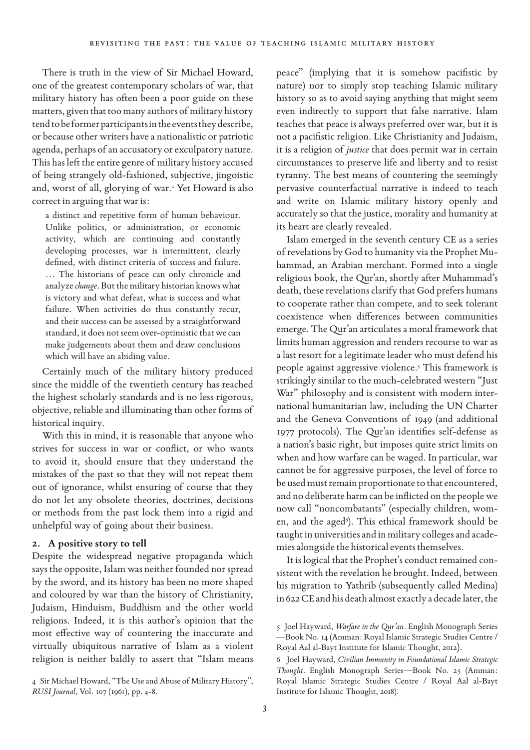There is truth in the view of Sir Michael Howard, one of the greatest contemporary scholars of war, that military history has often been a poor guide on these matters, given that too many authors of military history tend to be former participants in the events they describe, or because other writers have a nationalistic or patriotic agenda, perhaps of an accusatory or exculpatory nature. This has left the entire genre of military history accused of being strangely old-fashioned, subjective, jingoistic and, worst of all, glorying of war.4 Yet Howard is also correct in arguing that war is:

a distinct and repetitive form of human behaviour. Unlike politics, or administration, or economic activity, which are continuing and constantly developing processes, war is intermittent, clearly defined, with distinct criteria of success and failure. … The historians of peace can only chronicle and analyze *change*. But the military historian knows what is victory and what defeat, what is success and what failure. When activities do thus constantly recur, and their success can be assessed by a straightforward standard, it does not seem over-optimistic that we can make judgements about them and draw conclusions which will have an abiding value.

Certainly much of the military history produced since the middle of the twentieth century has reached the highest scholarly standards and is no less rigorous, objective, reliable and illuminating than other forms of historical inquiry.

With this in mind, it is reasonable that anyone who strives for success in war or conflict, or who wants to avoid it, should ensure that they understand the mistakes of the past so that they will not repeat them out of ignorance, whilst ensuring of course that they do not let any obsolete theories, doctrines, decisions or methods from the past lock them into a rigid and unhelpful way of going about their business.

### **2. A positive story to tell**

Despite the widespread negative propaganda which says the opposite, Islam was neither founded nor spread by the sword, and its history has been no more shaped and coloured by war than the history of Christianity, Judaism, Hinduism, Buddhism and the other world religions. Indeed, it is this author's opinion that the most effective way of countering the inaccurate and virtually ubiquitous narrative of Islam as a violent religion is neither baldly to assert that "Islam means

4 Sir Michael Howard, "The Use and Abuse of Military History", *RUSI Journal*, Vol. 107 (1961), pp. 4-8.

peace" (implying that it is somehow pacifistic by nature) nor to simply stop teaching Islamic military history so as to avoid saying anything that might seem even indirectly to support that false narrative. Islam teaches that peace is always preferred over war, but it is not a pacifistic religion. Like Christianity and Judaism, it is a religion of *justice* that does permit war in certain circumstances to preserve life and liberty and to resist tyranny. The best means of countering the seemingly pervasive counterfactual narrative is indeed to teach and write on Islamic military history openly and accurately so that the justice, morality and humanity at its heart are clearly revealed.

Islam emerged in the seventh century CE as a series of revelations by God to humanity via the Prophet Muhammad, an Arabian merchant. Formed into a single religious book, the Qur'an, shortly after Muhammad's death, these revelations clarify that God prefers humans to cooperate rather than compete, and to seek tolerant coexistence when differences between communities emerge. The Qur'an articulates a moral framework that limits human aggression and renders recourse to war as a last resort for a legitimate leader who must defend his people against aggressive violence.<sup>5</sup> This framework is strikingly similar to the much-celebrated western "Just War" philosophy and is consistent with modern international humanitarian law, including the UN Charter and the Geneva Conventions of 1949 (and additional 1977 protocols). The Qur'an identifies self-defense as a nation's basic right, but imposes quite strict limits on when and how warfare can be waged. In particular, war cannot be for aggressive purposes, the level of force to be used must remain proportionate to that encountered, and no deliberate harm can be inflicted on the people we now call "noncombatants" (especially children, women, and the aged<sup>6</sup>). This ethical framework should be taught in universities and in military colleges and academies alongside the historical events themselves.

It is logical that the Prophet's conduct remained consistent with the revelation he brought. Indeed, between his migration to Yathrib (subsequently called Medina) in 622 CE and his death almost exactly a decade later, the

<sup>5</sup> Joel Hayward, *Warfare in the Qur'an.* English Monograph Series —Book No. 14 (Amman: Royal Islamic Strategic Studies Centre / Royal Aal al-Bayt Institute for Islamic Thought, 2012).

<sup>6</sup> Joel Hayward, *Civilian Immunity in Foundational Islamic Strategic Thought*. English Monograph Series—Book No. 25 (Amman: Royal Islamic Strategic Studies Centre / Royal Aal al-Bayt Institute for Islamic Thought, 2018).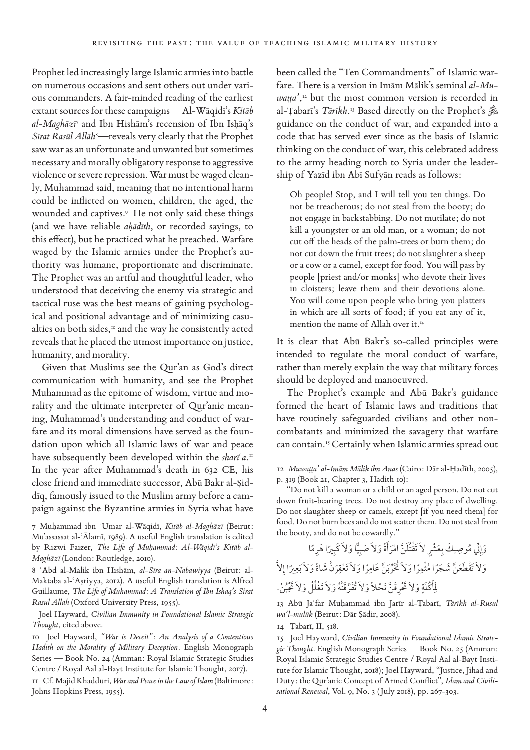Prophet led increasingly large Islamic armies into battle on numerous occasions and sent others out under various commanders. A fair-minded reading of the earliest extant sources for these campaigns —Al-Wāqidī's *Kitāb al-Maghāzī* <sup>7</sup> and Ibn Hishām's recension of Ibn Isĥāq's Sīrat Rasūl Allāh<sup>8</sup>—reveals very clearly that the Prophet saw war as an unfortunate and unwanted but sometimes necessary and morally obligatory response to aggressive violence or severe repression. War must be waged cleanly, Muhammad said, meaning that no intentional harm could be inflicted on women, children, the aged, the wounded and captives.9 He not only said these things (and we have reliable *aĥādīth*, or recorded sayings, to this effect), but he practiced what he preached. Warfare waged by the Islamic armies under the Prophet's authority was humane, proportionate and discriminate. The Prophet was an artful and thoughtful leader, who understood that deceiving the enemy via strategic and tactical ruse was the best means of gaining psychological and positional advantage and of minimizing casualties on both sides,<sup>10</sup> and the way he consistently acted reveals that he placed the utmost importance on justice, humanity, and morality.

Given that Muslims see the Qur'an as God's direct communication with humanity, and see the Prophet Muhammad as the epitome of wisdom, virtue and morality and the ultimate interpreter of Qur'anic meaning, Muhammad's understanding and conduct of warfare and its moral dimensions have served as the foundation upon which all Islamic laws of war and peace have subsequently been developed within the *sharī<sup>c</sup>a*.<sup>11</sup> In the year after Muhammad's death in 632 CE, his close friend and immediate successor, Abū Bakr al-Śiddīq, famously issued to the Muslim army before a campaign against the Byzantine armies in Syria what have

7 Muĥammad ibn ¢Umar al-Wāqidī, *Kitāb al-Maghāzī* (Beirut: Mu'assassat al-¢Ālamī, 1989). A useful English translation is edited by Rizwi Faizer, *The Life of Muĥammad: Al-Wāqidī's Kitāb al-Maghāzī* (London: Routledge, 2010).

8 ¢Abd al-Malik ibn Hishām, *al-Sīra an-Nabawiyya* (Beirut: al-Maktaba al-¢Aśriyya, 2012). A useful English translation is Alfred Guillaume, *The Life of Muhammad: A Translation of Ibn Ishaq's Sirat Rasul Allah* (Oxford University Press, 1955).

 Joel Hayward, *Civilian Immunity in Foundational Islamic Strategic Thought*, cited above.

10 Joel Hayward, *"War is Deceit": An Analysis of a Contentious Hadith on the Morality of Military Deception.* English Monograph Series — Book No. 24 (Amman: Royal Islamic Strategic Studies Centre / Royal Aal al-Bayt Institute for Islamic Thought, 2017).

11 Cf. Majid Khadduri, *War and Peace in the Law of Islam* (Baltimore: Johns Hopkins Press, 1955).

been called the "Ten Commandments" of Islamic warfare. There is a version in Imām Mālik's seminal *al-Mu*waṭṭa',<sup>12</sup> but the most common version is recorded in al-Țabarī's *Tārīkh*.<sup>13</sup> Based directly on the Prophet's @ guidance on the conduct of war, and expanded into a code that has served ever since as the basis of Islamic thinking on the conduct of war, this celebrated address to the army heading north to Syria under the leadership of Yazīd ibn Abī Sufyān reads as follows:

Oh people! Stop, and I will tell you ten things. Do not be treacherous; do not steal from the booty; do not engage in backstabbing. Do not mutilate; do not kill a youngster or an old man, or a woman; do not cut off the heads of the palm-trees or burn them; do not cut down the fruit trees; do not slaughter a sheep or a cow or a camel, except for food. You will pass by people [priest and/or monks] who devote their lives in cloisters; leave them and their devotions alone. You will come upon people who bring you platters in which are all sorts of food; if you eat any of it, mention the name of Allah over it.<sup>14</sup>

It is clear that Abū Bakr's so-called principles were intended to regulate the moral conduct of warfare, rather than merely explain the way that military forces should be deployed and manoeuvred.

The Prophet's example and Abū Bakr's guidance formed the heart of Islamic laws and traditions that have routinely safeguarded civilians and other noncombatants and minimized the savagery that warfare can contain.15 Certainly when Islamic armies spread out

### 12 *Muwaţţa' al-Imām Mālik ibn Anas* (Cairo: Dār al-Ĥadīth, 2005), p. 319 (Book 21, Chapter 3, Hadith 10):

"Do not kill a woman or a child or an aged person. Do not cut down fruit-bearing trees. Do not destroy any place of dwelling. Do not slaughter sheep or camels, except [if you need them] for food. Do not burn bees and do not scatter them. Do not steal from the booty, and do not be cowardly."

وَإِنِّي مُوصِيكَ بِعَشْرٍ لاَ تَقْتُلَنَّ امْرَأَةً وَلاَ صَبِيًّا وَلاَ كَبِيرًا هَرِمًا ِ ِي **ٍ** ِ وَلاَ تَقْطَعَنَّ شَجَرًا مُثْمِرًا وَلاَ تُخَرِّبنَّ عَامِرًا وَلاَ تَعْقِرَنَّ شَاةً وَلاَ بَعِيرًا إِلاَّ ∫<br>∶ لَمَاكُلَةٍ وَلاَ تَحْرِقَنَّ نَحْلاً وَلاَ تُفَرَّقَنَّهُ وَلاَ تَغْلُلْ وَلاَ تَجْبُنْ. ٍ ∫<br>∶

13 Abū Ja¢far Muĥammad ibn Jarīr al-Ţabarī, *Tārīkh al-Rusul wa'l-mulūk* (Beirut: Dār Śādir, 2008).

14 Ţabarī, II, 518.

15 Joel Hayward, *Civilian Immunity in Foundational Islamic Strategic Thought*. English Monograph Series — Book No. 25 (Amman: Royal Islamic Strategic Studies Centre / Royal Aal al-Bayt Institute for Islamic Thought, 2018); Joel Hayward, "Justice, Jihad and Duty: the Qur'anic Concept of Armed Conflict", *Islam and Civilisational Renewal*, Vol. 9, No. 3 ( July 2018), pp. 267-303.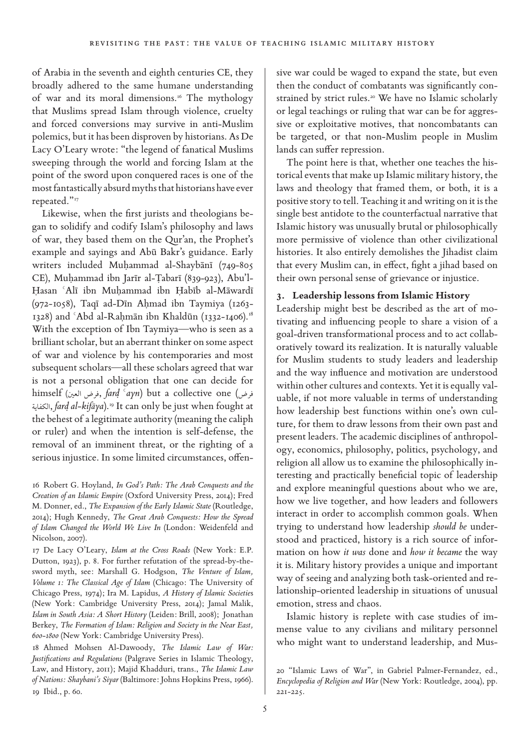of Arabia in the seventh and eighth centuries CE, they broadly adhered to the same humane understanding of war and its moral dimensions.<sup>16</sup> The mythology that Muslims spread Islam through violence, cruelty and forced conversions may survive in anti-Muslim polemics, but it has been disproven by historians. As De Lacy O'Leary wrote: "the legend of fanatical Muslims sweeping through the world and forcing Islam at the point of the sword upon conquered races is one of the most fantastically absurd myths that historians have ever repeated."<sup>17</sup>

Likewise, when the first jurists and theologians began to solidify and codify Islam's philosophy and laws of war, they based them on the Qur'an, the Prophet's example and sayings and Abū Bakr's guidance. Early writers included Muĥammad al-Shaybānī (749-805 CE), Muĥammad ibn Jarīr al-Ţabarī (839-923), Abu'l-Ĥasan ¢Alī ibn Muĥammad ibn Ĥabīb al-Māwardī (972-1058), Taqī ad-Dīn Aĥmad ibn Taymiya (1263- 1328) and 'Abd al-Rahmān ibn Khaldūn (1332-1406).<sup>18</sup> With the exception of Ibn Taymiya—who is seen as a brilliant scholar, but an aberrant thinker on some aspect of war and violence by his contemporaries and most subsequent scholars—all these scholars agreed that war is not a personal obligation that one can decide for himself (العين, *fard ʿayn*) but a collective one (فرض العين الكفاية, *farđ al-kifāya*).19 It can only be just when fought at the behest of a legitimate authority (meaning the caliph or ruler) and when the intention is self-defense, the removal of an imminent threat, or the righting of a serious injustice. In some limited circumstances, offen-

16 Robert G. Hoyland, *In God's Path: The Arab Conquests and the Creation of an Islamic Empire* (Oxford University Press, 2014); Fred M. Donner, ed., *The Expansion of the Early Islamic State* (Routledge, 2014); Hugh Kennedy, *The Great Arab Conquests: How the Spread of Islam Changed the World We Live In* (London: Weidenfeld and Nicolson, 2007).

17 De Lacy O'Leary, *Islam at the Cross Roads* (New York: E.P. Dutton, 1923), p. 8. For further refutation of the spread-by-thesword myth, see: Marshall G. Hodgson, *The Venture of Islam, Volume 1: The Classical Age of Islam* (Chicago: The University of Chicago Press, 1974); Ira M. Lapidus, *A History of Islamic Societie*s (New York: Cambridge University Press, 2014); Jamal Malik, *Islam in South Asia: A Short History* (Leiden: Brill, 2008); Jonathan Berkey, *The Formation of Islam: Religion and Society in the Near East, 600-1800* (New York: Cambridge University Press).

18 Ahmed Mohsen Al-Dawoody, *The Islamic Law of War: Justifications and Regulations* (Palgrave Series in Islamic Theology, Law, and History, 2011); Majid Khadduri, trans., *The Islamic Law of Nations: Shaybani's Siyar* (Baltimore: Johns Hopkins Press, 1966). 19 Ibid., p. 60.

sive war could be waged to expand the state, but even then the conduct of combatants was significantly constrained by strict rules.<sup>20</sup> We have no Islamic scholarly or legal teachings or ruling that war can be for aggressive or exploitative motives, that noncombatants can be targeted, or that non-Muslim people in Muslim lands can suffer repression.

The point here is that, whether one teaches the historical events that make up Islamic military history, the laws and theology that framed them, or both, it is a positive story to tell. Teaching it and writing on it is the single best antidote to the counterfactual narrative that Islamic history was unusually brutal or philosophically more permissive of violence than other civilizational histories. It also entirely demolishes the Jihadist claim that every Muslim can, in effect, fight a jihad based on their own personal sense of grievance or injustice.

# **3. Leadership lessons from Islamic History**

Leadership might best be described as the art of motivating and influencing people to share a vision of a goal-driven transformational process and to act collaboratively toward its realization. It is naturally valuable for Muslim students to study leaders and leadership and the way influence and motivation are understood within other cultures and contexts. Yet it is equally valuable, if not more valuable in terms of understanding how leadership best functions within one's own culture, for them to draw lessons from their own past and present leaders. The academic disciplines of anthropology, economics, philosophy, politics, psychology, and religion all allow us to examine the philosophically interesting and practically beneficial topic of leadership and explore meaningful questions about who we are, how we live together, and how leaders and followers interact in order to accomplish common goals. When trying to understand how leadership *should be* understood and practiced, history is a rich source of information on how *it was* done and *how it became* the way it is. Military history provides a unique and important way of seeing and analyzing both task-oriented and relationship-oriented leadership in situations of unusual emotion, stress and chaos.

Islamic history is replete with case studies of immense value to any civilians and military personnel who might want to understand leadership, and Mus-

<sup>20</sup> "Islamic Laws of War", in Gabriel Palmer-Fernandez, ed., *Encyclopedia of Religion and War* (New York: Routledge, 2004), pp. 221-225.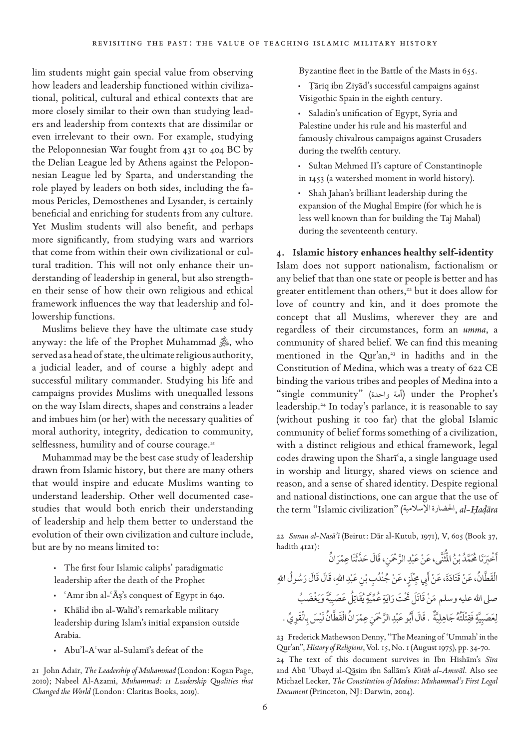lim students might gain special value from observing how leaders and leadership functioned within civilizational, political, cultural and ethical contexts that are more closely similar to their own than studying leaders and leadership from contexts that are dissimilar or even irrelevant to their own. For example, studying the Peloponnesian War fought from 431 to 404 BC by the Delian League led by Athens against the Peloponnesian League led by Sparta, and understanding the role played by leaders on both sides, including the famous Pericles, Demosthenes and Lysander, is certainly beneficial and enriching for students from any culture. Yet Muslim students will also benefit, and perhaps more significantly, from studying wars and warriors that come from within their own civilizational or cultural tradition. This will not only enhance their understanding of leadership in general, but also strengthen their sense of how their own religious and ethical framework influences the way that leadership and followership functions.

Muslims believe they have the ultimate case study anyway: the life of the Prophet Muhammad  $\hat{\mathcal{E}}$ , who served as a head of state, the ultimate religious authority, a judicial leader, and of course a highly adept and successful military commander. Studying his life and campaigns provides Muslims with unequalled lessons on the way Islam directs, shapes and constrains a leader and imbues him (or her) with the necessary qualities of moral authority, integrity, dedication to community, selflessness, humility and of course courage.<sup>21</sup>

Muhammad may be the best case study of leadership drawn from Islamic history, but there are many others that would inspire and educate Muslims wanting to understand leadership. Other well documented casestudies that would both enrich their understanding of leadership and help them better to understand the evolution of their own civilization and culture include, but are by no means limited to:

- **·** The first four Islamic caliphs' paradigmatic leadership after the death of the Prophet
- 'Amr ibn al-' $\bar{A}$ s's conquest of Egypt in 640.
- **·** Khālid ibn al-Walīd's remarkable military leadership during Islam's initial expansion outside Arabia.
- **·** Abu'l-A¢war al-Sulamī's defeat of the

21 John Adair, *The Leadership of Muhammad* (London: Kogan Page, 2010); Nabeel Al-Azami, *Muhammad: 11 Leadership Qualities that Changed the World* (London: Claritas Books, 2019).

Byzantine fleet in the Battle of the Masts in 655.

- **·** Ţāriq ibn Ziyād's successful campaigns against Visigothic Spain in the eighth century.
- **·** Saladin's unification of Egypt, Syria and Palestine under his rule and his masterful and famously chivalrous campaigns against Crusaders during the twelfth century.
- **·** Sultan Mehmed II's capture of Constantinople in 1453 (a watershed moment in world history).
- **·** Shah Jahan's brilliant leadership during the expansion of the Mughal Empire (for which he is less well known than for building the Taj Mahal) during the seventeenth century.

#### **4. Islamic history enhances healthy self-identity**

Islam does not support nationalism, factionalism or any belief that than one state or people is better and has greater entitlement than others,<sup>22</sup> but it does allow for love of country and kin, and it does promote the concept that all Muslims, wherever they are and regardless of their circumstances, form an *umma*, a community of shared belief. We can find this meaning mentioned in the Qur'an, $23$  in hadiths and in the Constitution of Medina, which was a treaty of 622 CE binding the various tribes and peoples of Medina into a "single community" (واحدة أمة (under the Prophet's leadership.24 In today's parlance, it is reasonable to say (without pushing it too far) that the global Islamic community of belief forms something of a civilization, with a distinct religious and ethical framework, legal codes drawing upon the Sharī¢a, a single language used in worship and liturgy, shared views on science and reason, and a sense of shared identity. Despite regional and national distinctions, one can argue that the use of the term "Islamic civilization" (اإلسالمية احلضارة, *al-Ĥađāra* 

22 *Sunan al-Nasā'ī* (Beirut: Dār al-Kutub, 1971), V, 605 (Book 37, hadith 4121):

أَخْبَرَنَا مُحَمَّدُ بْنُ الْمُُنَّى، عَنْ عَبْدِ الرَّحْمَنِ، قَالَ حَدَّثَنَا عِمْرَانُ ∫ **ا** ا<br>المقام ِ الْقَطَّانُ، عَنْ قَتَادَةَ، عَنْ أَبِي مِجْلَزٍ، عَنْ جُنْدُبِ بْنِ عَبْدِ اللهِ، قَالَ قَالَ رَسُولُ اللهِ ِ صلى الله عليه وسلم مَنْ قَاتَلْ تَحْتَ رَايَةٍ عُمِّيَّةٍ يُقَاتِلْ عَصَبِيَّةً وَيَغْضَبُّ ِي **∶** ٍ **∶** لِعَصَبِيَّةٍ فَقِتْلَتُهُ جَاهِلِيَّةٌ . قَالَ أَبُو عَبْدِ الرَّحْمَنِ عِمْرَانُ الْقَطَّانُ لَيْسَ بِالْقَوِيِّ . **∶** ِ ∫ **ื้** ِي **U** 

23 Frederick Mathewson Denny, "The Meaning of 'Ummah' in the Qur'an", *History of Religions*, Vol. 15, No. 1 (August 1975), pp. 34-70.

24 The text of this document survives in Ibn Hishām's *Sīra* and Abū ¢Ubayd al-Qāsim ibn Sallām's *Kitāb al-Amwāl*. Also see Michael Lecker, *The Constitution of Medina: Muhammad's First Legal Document* (Princeton, NJ: Darwin, 2004).